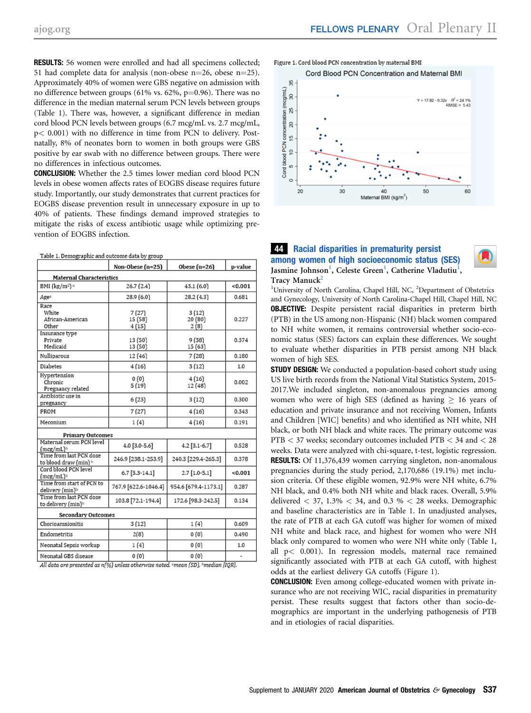RESULTS: 56 women were enrolled and had all specimens collected; 51 had complete data for analysis (non-obese  $n=26$ , obese  $n=25$ ). Approximately 40% of women were GBS negative on admission with no difference between groups (61% vs. 62%,  $p=0.96$ ). There was no difference in the median maternal serum PCN levels between groups (Table 1). There was, however, a significant difference in median cord blood PCN levels between groups (6.7 mcg/mL vs. 2.7 mcg/mL, p< 0.001) with no difference in time from PCN to delivery. Postnatally, 8% of neonates born to women in both groups were GBS positive by ear swab with no difference between groups. There were no differences in infectious outcomes.

CONCLUSION: Whether the 2.5 times lower median cord blood PCN levels in obese women affects rates of EOGBS disease requires future study. Importantly, our study demonstrates that current practices for EOGBS disease prevention result in unnecessary exposure in up to 40% of patients. These findings demand improved strategies to mitigate the risks of excess antibiotic usage while optimizing prevention of EOGBS infection.

| Table 1. Demographic and outcome data by group           |                            |                          |         |
|----------------------------------------------------------|----------------------------|--------------------------|---------|
|                                                          | Non-Obese $(n=25)$         | Obese $(n=26)$           | p-value |
| Maternal Characteristics                                 |                            |                          |         |
| BMI (kg/m <sup>2</sup> ) <sup>a</sup>                    | 26.7(2.4)                  | 43.1(6.0)                | < 0.001 |
| Age <sup>a</sup>                                         | 28.9(6.0)                  | 28.2(4.3)                | 0.681   |
| Race<br>White<br>African-American<br>Other               | 7(27)<br>15 (58)<br>4 (15) | 3(12)<br>20 (80)<br>2(8) | 0.227   |
| Insurance type<br>Private<br>Medicaid                    | 13 (50)<br>13 (50)         | 9(38)<br>15 (63)         | 0.374   |
| Nulliparous                                              | 12 (46)                    | 7(28)                    | 0.180   |
| Diabetes                                                 | 4(16)                      | 3(12)                    | 1.0     |
| Hypertension<br>Chronic<br>Pregnancy related             | 0(0)<br>5(19)              | 4(16)<br>12 (48)         | 0.002   |
| Antibiotic use in<br>pregnancy                           | 6 (23)                     | 3(12)                    | 0.300   |
| PROM                                                     | 7(27)                      | 4(16)                    | 0.343   |
| Meconium                                                 | 1(4)                       | 4(16)                    | 0.191   |
| <b>Primary Outcomes</b>                                  |                            |                          |         |
| Maternal serum PCN level<br>$(mcg/mL)^b$                 | 4.0 [3.0-5.6]              | $4.2$ [3.1-6.7]          | 0.528   |
| Time from last PCN dose<br>to blood draw (min) b         | 246.9 [238.1-253.9]        | 240.3 [229.4-265.3]      | 0.378   |
| Cord blood PCN level<br>$(mcg/mL)^b$                     | 6.7 [5.3-14.1]             | $2.7$ [1.0-5.1]          | 0.001   |
| Time from start of PCN to<br>delivery (min) <sup>b</sup> | 767.9 [622.6-1046.4]       | 954.6 [679.4-1173.1]     | 0.287   |
| Time from last PCN dose<br>to delivery (min)b            | 103.8 [72.1-194.4]         | 172.6 [98.3-242.5]       | 0.134   |
| <b>Secondary Outcomes</b>                                |                            |                          |         |
| Chorioamnionitis                                         | 3(12)                      | 1(4)                     | 0.609   |
| Endometritis                                             | 2(8)                       | 0(0)                     | 0.490   |
| Neonatal Sepsis workup                                   | 1(4)                       | 0(0)                     | 1.0     |
| Neonatal GBS disease                                     | 0(0)                       | 0(0)                     |         |
|                                                          |                            |                          |         |

All data are presented as n(%) unless otherwise noted. «mean (SD), »median [IQR].

Figure 1, Cord blood PCN concentration by maternal BMI



## 44 Racial disparities in prematurity persist among women of high socioeconomic status (SES) Jasmine Johnson<sup>1</sup>, Celeste Green<sup>1</sup>, Catherine Vladutiu<sup>1</sup>, Tracy Manuck<sup>2</sup>



<sup>1</sup>University of North Carolina, Chapel Hill, NC, <sup>2</sup>Department of Obstetrics and Gynecology, University of North Carolina-Chapel Hill, Chapel Hill, NC **OBJECTIVE:** Despite persistent racial disparities in preterm birth (PTB) in the US among non-Hispanic (NH) black women compared to NH white women, it remains controversial whether socio-economic status (SES) factors can explain these differences. We sought to evaluate whether disparities in PTB persist among NH black women of high SES.

**STUDY DESIGN:** We conducted a population-based cohort study using US live birth records from the National Vital Statistics System, 2015- 2017.We included singleton, non-anomalous pregnancies among women who were of high SES (defined as having  $\geq$  16 years of education and private insurance and not receiving Women, Infants and Children [WIC] benefits) and who identified as NH white, NH black, or both NH black and white races. The primary outcome was PTB < 37 weeks; secondary outcomes included PTB < 34 and < 28 weeks. Data were analyzed with chi-square, t-test, logistic regression. **RESULTS:** Of 11,376,439 women carrying singleton, non-anomalous pregnancies during the study period, 2,170,686 (19.1%) met inclusion criteria. Of these eligible women, 92.9% were NH white, 6.7% NH black, and 0.4% both NH white and black races. Overall, 5.9% delivered  $<$  37, 1.3%  $<$  34, and 0.3 %  $<$  28 weeks. Demographic and baseline characteristics are in Table 1. In unadjusted analyses, the rate of PTB at each GA cutoff was higher for women of mixed NH white and black race, and highest for women who were NH black only compared to women who were NH white only (Table 1, all p< 0.001). In regression models, maternal race remained significantly associated with PTB at each GA cutoff, with highest odds at the earliest delivery GA cutoffs (Figure 1).

CONCLUSION: Even among college-educated women with private insurance who are not receiving WIC, racial disparities in prematurity persist. These results suggest that factors other than socio-demographics are important in the underlying pathogenesis of PTB and in etiologies of racial disparities.